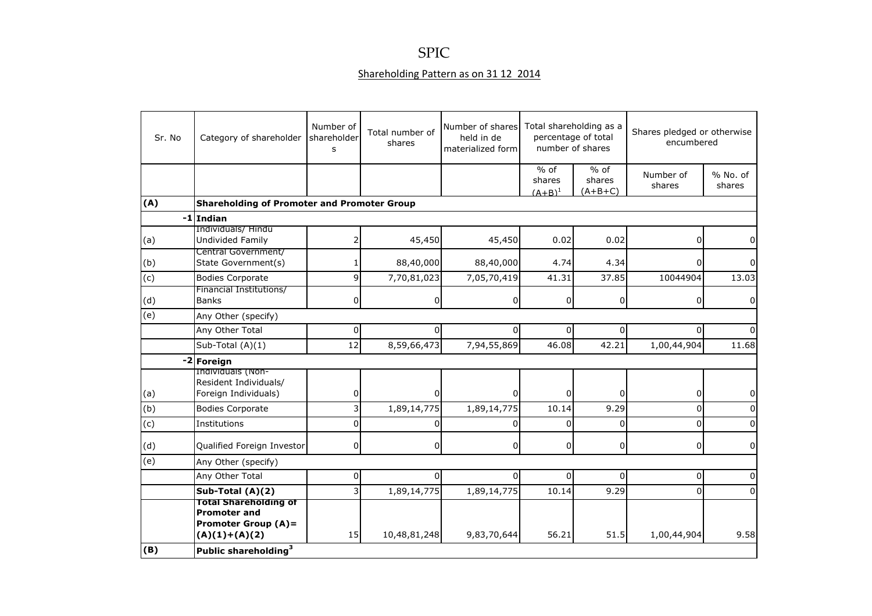## SPIC

## Shareholding Pattern as on 31 12 2014

| Sr. No | Category of shareholder                                                                              | Number of<br>shareholder<br>s | Total number of<br>shares | Number of shares<br>held in de<br>materialized form | Total shareholding as a<br>percentage of total<br>number of shares |                               | Shares pledged or otherwise<br>encumbered |                    |
|--------|------------------------------------------------------------------------------------------------------|-------------------------------|---------------------------|-----------------------------------------------------|--------------------------------------------------------------------|-------------------------------|-------------------------------------------|--------------------|
|        |                                                                                                      |                               |                           |                                                     | $%$ of<br>shares<br>$(A+B)^1$                                      | $%$ of<br>shares<br>$(A+B+C)$ | Number of<br>shares                       | % No. of<br>shares |
| (A)    | <b>Shareholding of Promoter and Promoter Group</b>                                                   |                               |                           |                                                     |                                                                    |                               |                                           |                    |
| $-1$   | Indian                                                                                               |                               |                           |                                                     |                                                                    |                               |                                           |                    |
| (a)    | Individuals/ Hindu<br>Undivided Family                                                               |                               | 45,450                    | 45,450                                              | 0.02                                                               | 0.02                          | 0                                         |                    |
| (b)    | Central Government/<br>State Government(s)                                                           |                               | 88,40,000                 | 88,40,000                                           | 4.74                                                               | 4.34                          | 0                                         |                    |
| (c)    | <b>Bodies Corporate</b>                                                                              | $\mathbf{q}$                  | 7,70,81,023               | 7,05,70,419                                         | 41.31                                                              | 37.85                         | 10044904                                  | 13.03              |
| (d)    | Financial Institutions/<br><b>Banks</b>                                                              | 0                             | $\overline{0}$            | $\overline{0}$                                      | $\overline{0}$                                                     | 0                             | 0                                         |                    |
| (e)    | Any Other (specify)                                                                                  |                               |                           |                                                     |                                                                    |                               |                                           |                    |
|        | Any Other Total                                                                                      | 0                             | $\Omega$                  | 0                                                   | $\overline{0}$                                                     | $\Omega$                      | $\Omega$                                  |                    |
|        | Sub-Total (A)(1)                                                                                     | 12                            | 8,59,66,473               | 7,94,55,869                                         | 46.08                                                              | 42.21                         | 1,00,44,904                               | 11.68              |
|        | -2 Foreign                                                                                           |                               |                           |                                                     |                                                                    |                               |                                           |                    |
| (a)    | Individuals (Non-<br>Resident Individuals/<br>Foreign Individuals)                                   | 0                             | $\Omega$                  | 0                                                   | $\Omega$                                                           | $\Omega$                      | 0                                         |                    |
| (b)    | <b>Bodies Corporate</b>                                                                              |                               | 1,89,14,775               | 1,89,14,775                                         | 10.14                                                              | 9.29                          | 0                                         |                    |
| (c)    | Institutions                                                                                         | $\Omega$                      | $\Omega$                  | 0                                                   | $\Omega$                                                           | $\Omega$                      | $\Omega$                                  |                    |
| (d)    | Qualified Foreign Investor                                                                           | $\mathbf 0$                   | $\overline{0}$            | $\overline{0}$                                      | $\overline{0}$                                                     | $\mathbf 0$                   | $\mathbf 0$                               | 0                  |
| (e)    | Any Other (specify)                                                                                  |                               |                           |                                                     |                                                                    |                               |                                           |                    |
|        | Any Other Total                                                                                      | $\pmb{0}$                     | $\overline{0}$            | $\Omega$                                            | $\Omega$                                                           | $\Omega$                      | 0                                         | 0                  |
|        | Sub-Total (A)(2)                                                                                     | 3                             | 1,89,14,775               | 1,89,14,775                                         | 10.14                                                              | 9.29                          | $\Omega$                                  | $\Omega$           |
|        | <b>Total Shareholding of</b><br><b>Promoter and</b><br><b>Promoter Group (A)=</b><br>$(A)(1)+(A)(2)$ | 15 <sub>l</sub>               | 10,48,81,248              | 9,83,70,644                                         | 56.21                                                              | 51.5                          | 1,00,44,904                               | 9.58               |
| (B)    | Public shareholding <sup>3</sup>                                                                     |                               |                           |                                                     |                                                                    |                               |                                           |                    |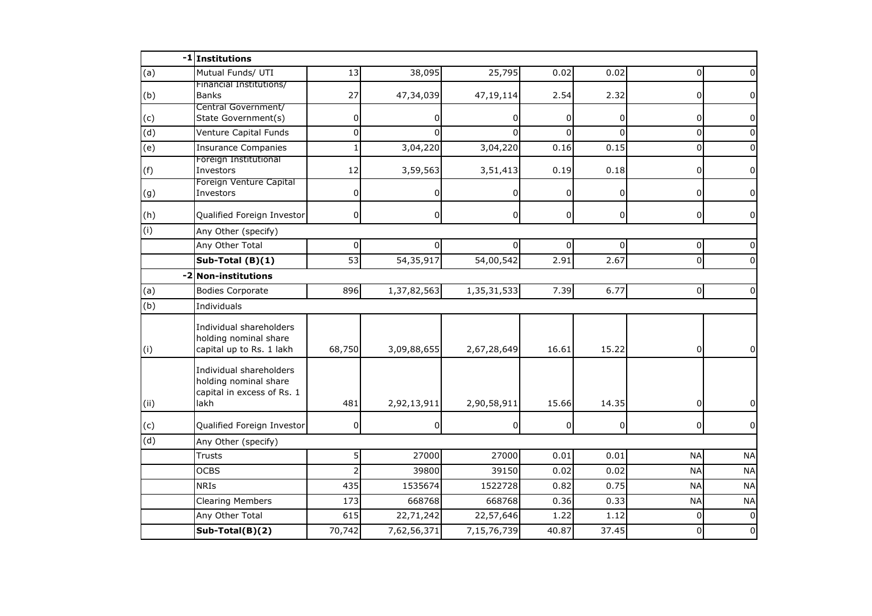|                | -1 Institutions                                                                        |                |                |                |                   |                |                |              |
|----------------|----------------------------------------------------------------------------------------|----------------|----------------|----------------|-------------------|----------------|----------------|--------------|
| (a)            | Mutual Funds/ UTI                                                                      | 13             | 38,095         | 25,795         | 0.02              | 0.02           | $\Omega$       |              |
| (b)            | Financial Institutions/<br><b>Banks</b>                                                | 27             | 47,34,039      | 47,19,114      | 2.54              | 2.32           | 0              |              |
| (c)            | Central Government/<br>State Government(s)                                             | 0              | 0              | 0              | $\Omega$          | $\overline{0}$ | 0              | 0            |
| $\overline{d}$ | Venture Capital Funds                                                                  | $\mathbf 0$    | $\Omega$       | $\Omega$       | ΩI                | $\Omega$       | 0              | <sup>0</sup> |
| (e)            | <b>Insurance Companies</b>                                                             | $\mathbf{1}$   | 3,04,220       | 3,04,220       | 0.16              | 0.15           | $\mathbf 0$    |              |
| (f)            | Foreign Institutional<br>Investors                                                     | 12             | 3,59,563       | 3,51,413       | 0.19              | 0.18           | 0              | 0            |
| (g)            | Foreign Venture Capital<br>Investors                                                   | 0              |                | 0              | 0                 | $\overline{0}$ | 0              | 0            |
| (h)            | Qualified Foreign Investor                                                             | $\mathbf 0$    | $\overline{0}$ | $\overline{0}$ | 0                 | $\overline{0}$ | $\overline{0}$ | 0            |
| (i)            | Any Other (specify)                                                                    |                |                |                |                   |                |                |              |
|                | Any Other Total                                                                        | 0              |                | 0              | 0I                | $\Omega$       | 0              |              |
|                | Sub-Total (B)(1)                                                                       | 53             | 54,35,917      | 54,00,542      | 2.91              | 2.67           | $\mathbf 0$    |              |
| $-2$           | <b>Non-institutions</b>                                                                |                |                |                |                   |                |                |              |
| (a)            | <b>Bodies Corporate</b>                                                                | 896            | 1,37,82,563    | 1,35,31,533    | $\overline{7.39}$ | 6.77           | $\overline{0}$ | $\Omega$     |
| (b)            | Individuals                                                                            |                |                |                |                   |                |                |              |
| (i)            | Individual shareholders<br>holding nominal share<br>capital up to Rs. 1 lakh           | 68,750         | 3,09,88,655    | 2,67,28,649    | 16.61             | 15.22          | $\overline{0}$ | 0            |
| (i)            | Individual shareholders<br>holding nominal share<br>capital in excess of Rs. 1<br>lakh | 481            | 2,92,13,911    | 2,90,58,911    | 15.66             | 14.35          | 0              |              |
| (c)            | Qualified Foreign Investor                                                             | 0              | 0              | 0              | $\Omega$          | $\overline{0}$ | 0              | $\Omega$     |
| (d)            | Any Other (specify)                                                                    |                |                |                |                   |                |                |              |
|                | <b>Trusts</b>                                                                          | 5              | 27000          | 27000          | 0.01              | 0.01           | <b>NA</b>      | <b>NA</b>    |
|                | <b>OCBS</b>                                                                            | $\overline{2}$ | 39800          | 39150          | 0.02              | 0.02           | <b>NA</b>      | <b>NA</b>    |
|                | <b>NRIS</b>                                                                            | 435            | 1535674        | 1522728        | 0.82              | 0.75           | <b>NA</b>      | <b>NA</b>    |
|                | <b>Clearing Members</b>                                                                | 173            | 668768         | 668768         | 0.36              | 0.33           | <b>NA</b>      | <b>NA</b>    |
|                |                                                                                        |                |                |                |                   |                |                |              |
|                | Any Other Total                                                                        | 615            | 22,71,242      | 22,57,646      | 1.22              | 1.12           | $\Omega$       | $\Omega$     |